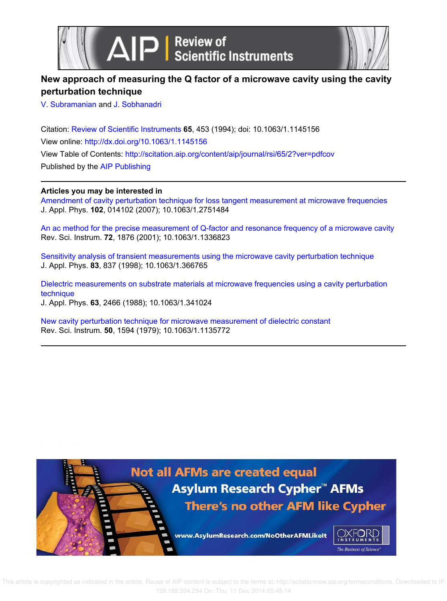



# **New approach of measuring the Q factor of a microwave cavity using the cavity perturbation technique**

V. Subramanian and J. Sobhanadri

Citation: Review of Scientific Instruments **65**, 453 (1994); doi: 10.1063/1.1145156 View online: http://dx.doi.org/10.1063/1.1145156 View Table of Contents: http://scitation.aip.org/content/aip/journal/rsi/65/2?ver=pdfcov Published by the AIP Publishing

## **Articles you may be interested in**

Amendment of cavity perturbation technique for loss tangent measurement at microwave frequencies J. Appl. Phys. **102**, 014102 (2007); 10.1063/1.2751484

An ac method for the precise measurement of Q-factor and resonance frequency of a microwave cavity Rev. Sci. Instrum. **72**, 1876 (2001); 10.1063/1.1336823

Sensitivity analysis of transient measurements using the microwave cavity perturbation technique J. Appl. Phys. **83**, 837 (1998); 10.1063/1.366765

Dielectric measurements on substrate materials at microwave frequencies using a cavity perturbation technique J. Appl. Phys. **63**, 2466 (1988); 10.1063/1.341024

New cavity perturbation technique for microwave measurement of dielectric constant Rev. Sci. Instrum. **50**, 1594 (1979); 10.1063/1.1135772



 This article is copyrighted as indicated in the article. Reuse of AIP content is subject to the terms at: http://scitationnew.aip.org/termsconditions. Downloaded to IP: 128.189.204.254 On: Thu, 11 Dec 2014 05:45:14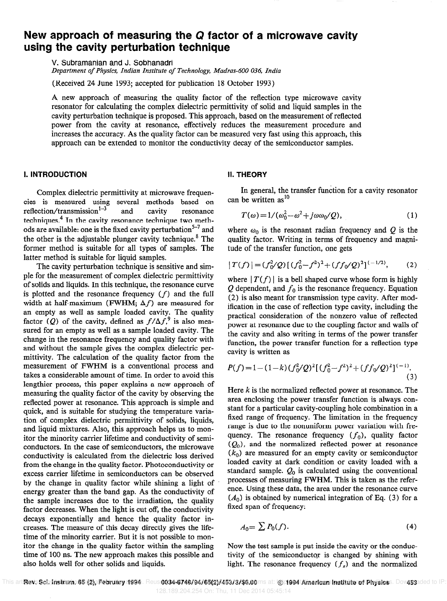## New approach of measuring the Q factor of a microwave cavity using the cavity perturbation technique

V. Subramanian and J. Sobhanadri

Department of Physics, Indian Institute of Technology, Madras-600 036, India

(Received 24 June 1993; accepted for publication 18 October 1993)

A new approach of measuring the quality factor of the reflection type microwave cavity resonator for calculating the complex dielectric permittivity of solid and liquid samples in the cavity perturbation technique is proposed. This approach, based on the measurement of reflected power from the cavity at resonance, effectively reduces the measurement procedure and increases the accuracy. As the quality factor can be measured very fast using this approach, this approach can be extended to monitor the conductivity decay of the semiconductor samples.

### I. INTRODUCTION II. THEORY

Complex dielectric permittivity at microwave frequencies is measured using several methods based on reflection/transmission $1-3$  and cavity resonance techniques.4 In the cavity resonance technique two methods are available: one is the fixed cavity perturbation<sup>5-7</sup> and the other is the adjustable plunger cavity technique.<sup>8</sup> The former method is suitable for all types of samples. The latter method is suitable for liquid samples.

The cavity perturbation technique is sensitive and simple for the measurement of complex dielectric permittivity of solids and liquids. In this technique, the resonance curve is plotted and the resonance frequency  $(f)$  and the full width at half-maximum (FWHM;  $\Delta f$ ) are measured for an empty as well as sample loaded cavity. The quality factor (Q) of the cavity, defined as  $f/\Delta f$ ,<sup>9</sup> is also measured for an empty as well as a sample loaded cavity. The change in the resonance frequency and quality factor with and without the sample gives the complex dielectric permittivity. The calculation of the quality factor from the measurement of FWHM is a conventional process and takes a considerable amount of time. In order to avoid this lengthier process, this paper explains a new approach of measuring the quality factor of the cavity by observing the reflected power at resonance. This approach is simple and quick, and is suitable for studying the temperature variation of complex dielectric permittivity of solids, liquids, and liquid mixtures. Also, this approach helps us to monitor the minority carrier lifetime and conductivity of semiconductors. In the case of semiconductors, the microwave conductivity is calculated from the dielectric loss derived from the change in the quality factor. Photoconductivity or excess carrier lifetime in semiconductors can be observed by the change in quality factor while shining a light of energy greater than the band gap. As the conductivity of the sample increases due to the irradiation, the quality factor decreases. When the light is cut off, the conductivity decays exponentially and hence the quality factor increases. The measure of this decay directly gives the lifetime of the minority carrier. But it is not possible to monitor the change in the quality factor within the sampling time of 100 ns. The new approach makes this possible and also holds well for other solids and liquids.

In general, the transfer function for a cavity resonator can be written as<sup>10</sup>

$$
T(\omega) = 1/(\omega_0^2 - \omega^2 + j\omega\omega_0/Q),\tag{1}
$$

where  $\omega_0$  is the resonant radian frequency and Q is the quality factor. Writing in terms of frequency and magnitude of the transfer function, one gets

$$
|T(f)| = (f_0^2/Q) [(f_0^2 - f^2)^2 + (ff_0/Q)^2]^{(-1/2)},
$$
 (2)

where  $|T(f)|$  is a bell shaped curve whose form is highly Q dependent, and  $f_0$  is the resonance frequency. Equation (2) is also meant for transmission type cavity. After modification in the case of reflection type cavity, including the practical consideration of the nonzero value of reflected power at resonance due to the coupling factor and walls of the cavity and also writing in terms of the power transfer function, the power transfer function for a reflection type cavity is written as

$$
P(f) = 1 - (1 - k) (f_0^2/Q)^2 [(f_0^2 - f^2)^2 + (ff_0/Q)^2]^{(-1)}.
$$
\n(3)

Here  $k$  is the normalized reflected power at resonance. The area enclosing the power transfer function is always constant for a particular cavity-coupling hole combination in a fixed range of frequency. The limitation in the frequency range is due to the nonuniform power variation with frequency. The resonance frequency  $(f_0)$ , quality factor  $(Q_0)$ , and the normalized reflected power at resonance  $(k_0)$  are measured for an empty cavity or semiconductor loaded cavity at dark condition or cavity loaded with a standard sample.  $Q_0$  is calculated using the conventional processes of measuring FWHM. This is taken as the reference. Using these data, the area under the resonance curve  $(A_0)$  is obtained by numerical integration of Eq. (3) for a fixed span of frequency:

$$
A_0 = \sum P_0(f). \tag{4}
$$

Now the test sample is put inside the cavity or the conductivity of the semiconductor is changed by shining with light. The resonance frequency  $(f<sub>s</sub>)$  and the normalized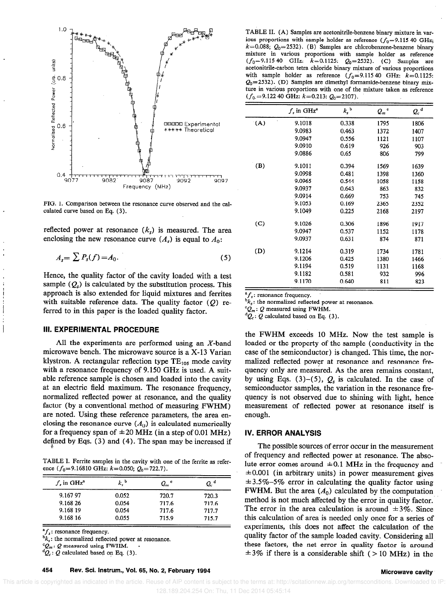

FIG. 1. Comparison between the resonance curve observed and the calculated curve based on Eq. (3).

reflected power at resonance  $(k<sub>s</sub>)$  is measured. The area enclosing the new resonance curve  $(A_s)$  is equal to  $A_0$ :

$$
A_s = \sum P_s(f) = A_0. \tag{5}
$$

Hence, the quality factor of the cavity loaded with a test sample  $(Q_s)$  is calculated by the substitution process. This approach is also extended for liquid mixtures and ferrites with suitable reference data. The quality factor  $(O)$  referred to in this paper is the loaded quality factor.

### **III. EXPERIMENTAL PROCEDURE**

All the experiments are performed using an X-band microwave bench. The microwave source is a X-13 Varian klystron. A rectangular reflection type  $TE_{105}$  mode cavity with a resonance frequency of 9.150 GHz is used. A suitable reference sample is chosen and loaded into the cavity at an electric field maximum. The resonance frequency, normalized reflected power at resonance, and the quality factor (by a conventional method of measuring FWHM) are noted. Using these reference parameters, the area enclosing the resonance curve  $(A_0)$  is calculated numerically for a frequency span of  $\pm 20$  MHz (in a step of 0.01 MHz) defined by Eqs. (3) and (4). The span may be increased if

TABLE I. Ferrite samples in the cavity with one of the ferrite as reference  $(f_0=9.16810 \text{ GHz: } k=0.050; Q_0=722.7).$ 

| $f$ , in $\text{GHz}^2$ | k. b  | $Q_m$ ° | $Q_c$ <sup>a</sup> |
|-------------------------|-------|---------|--------------------|
| 9.16797                 | 0.052 | 720.7   | 720.3              |
| 9.168 26                | 0.054 | 717.6   | 717.6              |
| 9.168 19                | 0.054 | 717.6   | 717.7              |
| 9.168 16                | 0.055 | 715.9   | 715.7              |

 ${}^{\text{a}}f$ , : resonance frequency.

 $b_{k}$ : the normalized reflected power at resonance.

 ${}^cQ_m$ : Q measured using FWHM.

 ${}^dQ_c$ : Q calculated based on Eq. (3).

TABLE II. (A) Samples are acetonitrile-benzene binary mixture in various proportions with sample holder as reference  $(f_0=9.115\;40\; \rm GHz;$  $k=0.088$ ;  $Q_0=2532$ ). (B) Samples are chlorobenzene-benzene binary mixture in various proportions with sample holder as reference ( $f_0 = 9.115$  40 GHz:  $k = 0.1125$ ;  $Q_0 = 2532$ ). (C) Samples are acetonitrile-carbon tetra chloride binary mixture of various proportions with sample holder as reference  $(f_0=9.115\,40\,$  GHz:  $k=0.1125$ :  $Q_0$ =2532). (D) Samples are dimethyl formamide-benzene binary mixture in various proportions with one of the mixture taken as reference  $(f<sub>0</sub>=9.12240 \text{ GHz: } k=0.213: Q<sub>0</sub>=2107).$ 

|     | $f$ , in GHz <sup>a</sup> | $k_{s}$ <sup>b</sup> | $Q_m$ ° | $Q_c^{\;\;d}$ |
|-----|---------------------------|----------------------|---------|---------------|
| (A) | 9.1018                    | 0.338                | 1795    | 1806          |
|     | 9.0983                    | 0.463                | 1372    | 1407          |
|     | 9.0947                    | 0.556                | 1121    | 1107          |
|     | 9.0910                    | 0.619                | 926     | 903           |
|     | 9.0886                    | 0.65                 | 806     | 799           |
| (B) | 9.1011                    | 0.394                | 1569    | 1639          |
|     | 9.0998                    | 0.481                | 1398    | 1360          |
|     | 9.0965                    | 0.544                | 1058    | 1158          |
|     | 9.0937                    | 0.643                | 863     | 832           |
|     | 9.0914                    | 0.669                | 753     | 745           |
|     | 9.1053                    | 0.169                | 2365    | 2352          |
|     | 9.1049                    | 0.225                | 2168    | 2197          |
| (C) | 9.1026                    | 0.306                | 1896    | 1917          |
|     | 9.0947                    | 0.537                | 1152    | 1178          |
|     | 9.0937                    | 0.631                | 874     | 871           |
| (D) | 9.1214                    | 0.319                | 1734    | 1781          |
|     | 9.1206                    | 0.425                | 1380    | 1466          |
|     | 9.1194                    | 0.519                | 1131    | 1168          |
|     | 9.1182                    | 0.581                | 932     | 996           |
|     | 9.1170                    | 0.640                | 811     | 823           |
|     |                           |                      |         |               |

 ${}^{4}f_{s}$ : resonance frequency.

 ${}^{b}k_{s}$ : the normalized reflected power at resonance.

 ${}^cQ_m$ : Q measured using FWHM.

 ${}^dQ_c$ : Q calculated based on Eq. (3).

the FWHM exceeds 10 MHz. Now the test sample is loaded or the property of the sample (conductivity in the case of the semiconductor) is changed. This time, the normalized reflected power at resonance and resonance fre quency only are measured. As the area remains constant, by using Eqs. (3)–(5),  $Q_s$  is calculated. In the case of semiconductor samples, the variation in the resonance frequency is not observed due to shining with light, hence measurement of reflected power at resonance itself is enough.

### IV. ERROR ANALYSIS

The possible sources of error occur in the measurement of frequency and reflected power at resonance. The absolute error comes around  $\pm 0.1$  MHz in the frequency and  $\pm 0.001$  (in arbitrary units) in power measurement gives  $\pm$ 3.5%-5% error in calculating the quality factor using FWHM. But the area  $(A_0)$  calculated by the computation method is not much affected by the error in quality factor. The error in the area calculation is around  $\pm 3\%$ . Since this calculation of area is needed only once for a series of experiments, this does not affect the calculation of the quality factor of the sample loaded cavity. Considering all these factors, the net error in quality factor is around  $\pm 3\%$  if there is a considerable shift ( > 10 MHz) in the

 This article is copyrighted as indicated in the article. Reuse of AIP content is subject to the terms at: http://scitationnew.aip.org/termsconditions. Downloaded to IP: 128.189.204.254 On: Thu, 11 Dec 2014 05:45:14